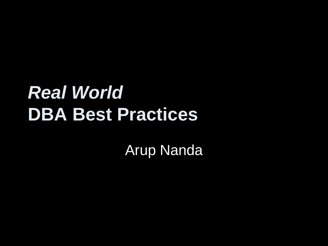#### *Real World* **DBA Best Practices**

Arup Nanda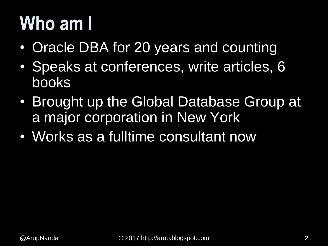## **Who am I**

- Oracle DBA for 20 years and counting
- Speaks at conferences, write articles, 6 books
- Brought up the Global Database Group at a major corporation in New York
- Works as a fulltime consultant now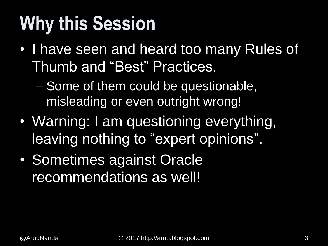## **Why this Session**

• I have seen and heard too many Rules of Thumb and "Best" Practices.

– Some of them could be questionable, misleading or even outright wrong!

- Warning: I am questioning everything, leaving nothing to "expert opinions".
- Sometimes against Oracle recommendations as well!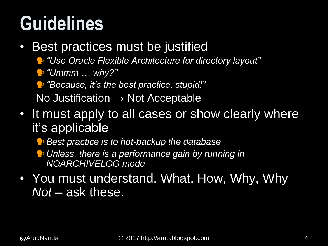### **Guidelines**

- Best practices must be justified
	- *"Use Oracle Flexible Architecture for directory layout"*
	- *"Ummm … why?"*

*"Because, it's the best practice, stupid!"*

No Justification  $\rightarrow$  Not Acceptable

- It must apply to all cases or show clearly where it's applicable
	- *Best practice is to hot-backup the database*
	- *Unless, there is a performance gain by running in NOARCHIVELOG mode*
- You must understand. What, How, Why, Why *Not* – ask these.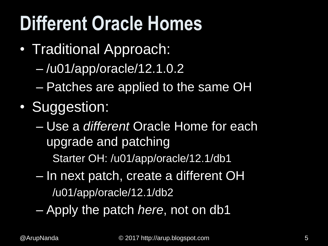## **Different Oracle Homes**

- Traditional Approach:
	- /u01/app/oracle/12.1.0.2
	- Patches are applied to the same OH
- Suggestion:
	- Use a *different* Oracle Home for each upgrade and patching Starter OH: /u01/app/oracle/12.1/db1
	- In next patch, create a different OH /u01/app/oracle/12.1/db2
	- Apply the patch *here*, not on db1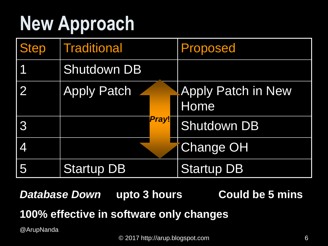## **New Approach**

| <b>Step</b> | <b>Traditional</b> | Proposed                          |
|-------------|--------------------|-----------------------------------|
|             | <b>Shutdown DB</b> |                                   |
|             | <b>Apply Patch</b> | <b>Apply Patch in New</b><br>Home |
| 3           | Pray!              | <b>Shutdown DB</b>                |
| 4           |                    | <b>Change OH</b>                  |
| 5           | <b>Startup DB</b>  | <b>Startup DB</b>                 |

*Database Down* upto 3 hours Could be 5 mins **100% effective in software only changes**

@ArupNanda

© 2017 http://arup.blogspot.com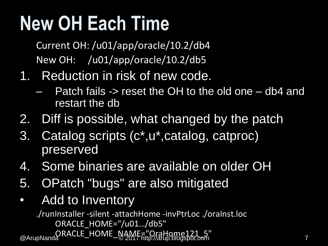## **New OH Each Time**

Current OH: /u01/app/oracle/10.2/db4 New OH: /u01/app/oracle/10.2/db5

- 1. Reduction in risk of new code.
	- Patch fails -> reset the OH to the old one db4 and restart the db
- 2. Diff is possible, what changed by the patch
- 3. Catalog scripts (c\*,u\*,catalog, catproc) preserved
- 4. Some binaries are available on older OH
- 5. OPatch "bugs" are also mitigated
- Add to Inventory

© 2017 http://arup.blogspot.com ORACLE\_HOME\_NAME="OraHome121\_5" @ArupNanda <sup>7</sup>./runInstaller -silent -attachHome -invPtrLoc ./oraInst.loc ORACLE HOME="/u01.../db5"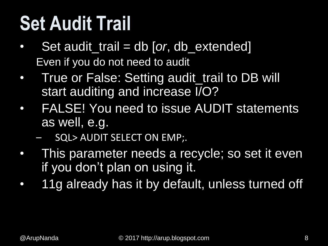## **Set Audit Trail**

- Set audit\_trail = db [or, db\_extended] Even if you do not need to audit
- True or False: Setting audit\_trail to DB will start auditing and increase I/O?
- FALSE! You need to issue AUDIT statements as well, e.g.
	- SQL> AUDIT SELECT ON EMP;.
- This parameter needs a recycle; so set it even if you don't plan on using it.
- 11g already has it by default, unless turned off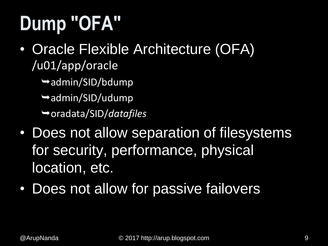## **Dump "OFA"**

- Oracle Flexible Architecture (OFA) /u01/app/oracle
	- admin/SID/bdump
	- $\rightarrow$ admin/SID/udump
	- oradata/SID/*datafiles*
- Does not allow separation of filesystems for security, performance, physical location, etc.
- Does not allow for passive failovers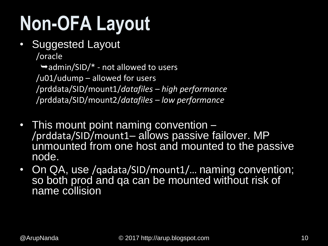## **Non-OFA Layout**

• Suggested Layout

/oracle

 $\rightarrow$  admin/SID/ $*$  - not allowed to users /u01/udump – allowed for users /prddata/SID/mount1/*datafiles – high performance* /prddata/SID/mount2/*datafiles – low performance*

- This mount point naming convention -/prddata/SID/mount1– allows passive failover. MP unmounted from one host and mounted to the passive node.
- On QA, use /qadata/SID/mount1/... naming convention; so both prod and qa can be mounted without risk of name collision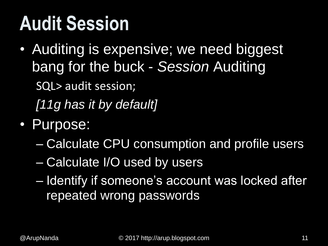### **Audit Session**

- Auditing is expensive; we need biggest bang for the buck - *Session* Auditing SQL> audit session; *[11g has it by default]*
- Purpose:
	- Calculate CPU consumption and profile users
	- Calculate I/O used by users
	- Identify if someone's account was locked after repeated wrong passwords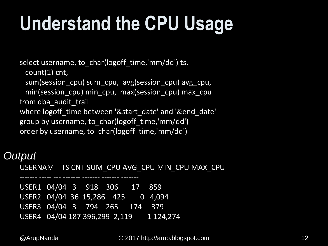## **Understand the CPU Usage**

select username, to\_char(logoff\_time,'mm/dd') ts,

count(1) cnt,

sum(session\_cpu) sum\_cpu, avg(session\_cpu) avg\_cpu,

min(session\_cpu) min\_cpu, max(session\_cpu) max\_cpu from dba\_audit\_trail

where logoff time between '&start date' and '&end date' group by username, to\_char(logoff\_time,'mm/dd') order by username, to char(logoff time,'mm/dd')

#### *Output*

USERNAM TS CNT SUM\_CPU AVG\_CPU MIN\_CPU MAX\_CPU

USER1 04/04 3 918 306 17 859 USER2 04/04 36 15,286 425 0 4,094 USER3 04/04 3 794 265 174 379 USER4 04/04 187 396,299 2,119 1 124,274

------- ----- --- ------- ------- ------- -------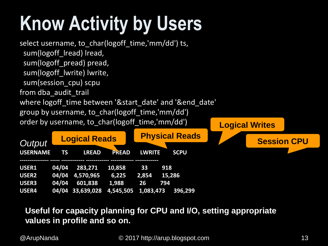## **Know Activity by Users**



#### **Useful for capacity planning for CPU and I/O, setting appropriate values in profile and so on.**

© 2017 http://arup.blogspot.com @ArupNanda 13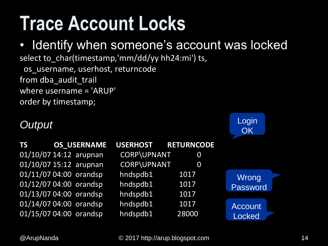### **Trace Account Locks**

#### • Identify when someone's account was locked

select to\_char(timestamp,'mm/dd/yy hh24:mi') ts,

os\_username, userhost, returncode from dba\_audit\_trail where username = 'ARUP' order by timestamp;

#### *Output*

| <b>TS</b>              | <b>OS USERNAME</b> | USERHOST RETURNCODE |       |                |
|------------------------|--------------------|---------------------|-------|----------------|
| 01/10/07 14:12 arupnan |                    | CORP\UPNANT         | 0     |                |
| 01/10/07 15:12 arupnan |                    | CORP\UPNANT         | 0     |                |
| 01/11/07 04:00 orandsp |                    | hndspdb1            | 1017  | Wrong          |
| 01/12/07 04:00 orandsp |                    | hndspdb1            | 1017  | Password       |
| 01/13/07 04:00 orandsp |                    | hndspdb1            | 1017  |                |
| 01/14/07 04:00 orandsp |                    | hndspdb1            | 1017  | <b>Account</b> |
| 01/15/07 04:00 orandsp |                    | hndspdb1            | 28000 | <b>Locked</b>  |

Login

**OK**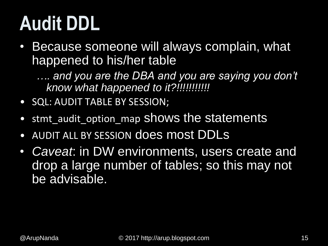## **Audit DDL**

- Because someone will always complain, what happened to his/her table
	- *…. and you are the DBA and you are saying you don't know what happened to it?!!!!!!!!!!!*
- SQL: AUDIT TABLE BY SESSION;
- stmt audit option map shows the statements
- AUDIT ALL BY SESSION does most DDLs
- *Caveat*: in DW environments, users create and drop a large number of tables; so this may not be advisable.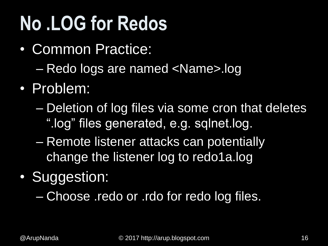## **No .LOG for Redos**

- Common Practice:
	- Redo logs are named <Name>.log
- Problem:
	- Deletion of log files via some cron that deletes ".log" files generated, e.g. sqlnet.log.
	- Remote listener attacks can potentially change the listener log to redo1a.log
- Suggestion:

– Choose .redo or .rdo for redo log files.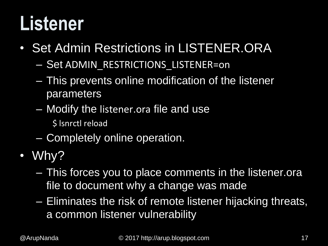### **Listener**

- Set Admin Restrictions in LISTENER.ORA
	- Set ADMIN\_RESTRICTIONS\_LISTENER=on
	- This prevents online modification of the listener parameters
	- Modify the listener.ora file and use
		- \$ lsnrctl reload
	- Completely online operation.
- Why?
	- This forces you to place comments in the listener.ora file to document why a change was made
	- Eliminates the risk of remote listener hijacking threats, a common listener vulnerability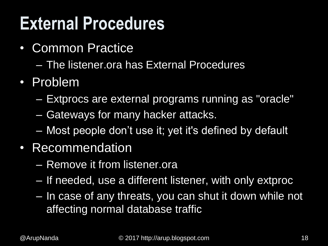#### **External Procedures**

- Common Practice
	- The listener.ora has External Procedures
- Problem
	- Extprocs are external programs running as "oracle"
	- Gateways for many hacker attacks.
	- Most people don't use it; yet it's defined by default
- Recommendation
	- Remove it from listener.ora
	- If needed, use a different listener, with only extproc
	- In case of any threats, you can shut it down while not affecting normal database traffic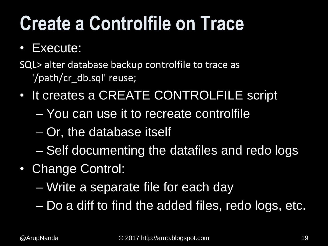## **Create a Controlfile on Trace**

#### • Execute:

SQL> alter database backup controlfile to trace as '/path/cr\_db.sql' reuse;

- It creates a CREATE CONTROLFILE script
	- You can use it to recreate controlfile
	- Or, the database itself
	- Self documenting the datafiles and redo logs
- Change Control:
	- Write a separate file for each day

– Do a diff to find the added files, redo logs, etc.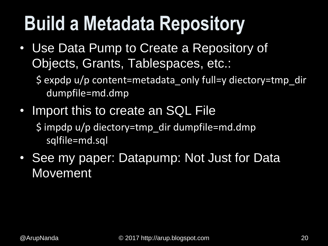## **Build a Metadata Repository**

- Use Data Pump to Create a Repository of Objects, Grants, Tablespaces, etc.:
	- \$ expdp u/p content=metadata\_only full=y diectory=tmp\_dir dumpfile=md.dmp
- Import this to create an SQL File \$ impdp u/p diectory=tmp\_dir dumpfile=md.dmp sqlfile=md.sql
- See my paper: Datapump: Not Just for Data Movement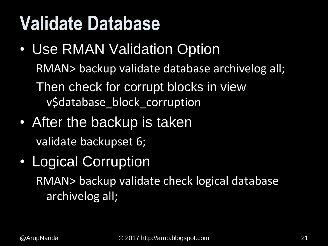### **Validate Database**

- Use RMAN Validation Option RMAN> backup validate database archivelog all; Then check for corrupt blocks in view v\$database\_block\_corruption
- After the backup is taken validate backupset 6;
- Logical Corruption RMAN> backup validate check logical database

archivelog all;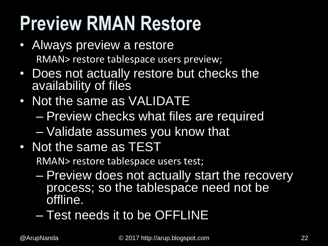## **Preview RMAN Restore**

- Always preview a restore RMAN> restore tablespace users preview;
- Does not actually restore but checks the availability of files
- Not the same as VALIDATE – Preview checks what files are required – Validate assumes you know that
- Not the same as TEST

RMAN> restore tablespace users test;

- Preview does not actually start the recovery process; so the tablespace need not be offline.
- Test needs it to be OFFLINE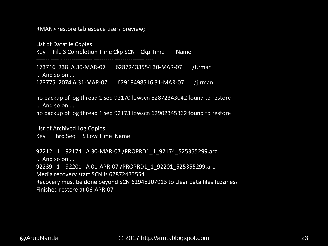RMAN> restore tablespace users preview;

List of Datafile Copies Key File S Completion Time Ckp SCN Ckp Time Name ------- ---- - --------------- ---------- --------------- ---- 173716 238 A 30-MAR-07 62872433554 30-MAR-07 /f.rman ... And so on ... 173775 2074 A 31-MAR-07 62918498516 31-MAR-07 /j.rman

no backup of log thread 1 seq 92170 lowscn 62872343042 found to restore ... And so on ...

no backup of log thread 1 seq 92173 lowscn 62902345362 found to restore

List of Archived Log Copies Key Thrd Seq S Low Time Name

------- ---- ------- - --------- ----

92212 1 92174 A 30-MAR-07 /PROPRD1 1 92174 525355299.arc ... And so on ... 92239 1 92201 A 01-APR-07 /PROPRD1\_1\_92201\_525355299.arc Media recovery start SCN is 62872433554 Recovery must be done beyond SCN 62948207913 to clear data files fuzziness Finished restore at 06-APR-07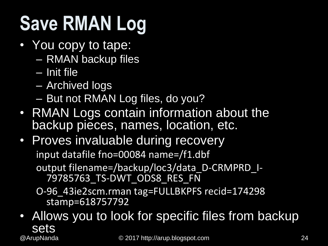## **Save RMAN Log**

- You copy to tape:
	- RMAN backup files
	- Init file
	- Archived logs
	- But not RMAN Log files, do you?
- RMAN Logs contain information about the backup pieces, names, location, etc.
- Proves invaluable during recovery input datafile fno=00084 name=/f1.dbf output filename=/backup/loc3/data\_D-CRMPRD\_I-79785763\_TS-DWT\_ODS8\_RES\_FN O-96\_43ie2scm.rman tag=FULLBKPFS recid=174298

stamp=618757792

© 2017 http://arup.blogspot.com @ArupNanda 24• Allows you to look for specific files from backup sets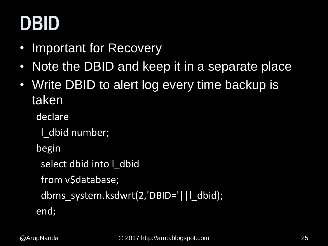## **DBID**

- Important for Recovery
- Note the DBID and keep it in a separate place
- Write DBID to alert log every time backup is taken

declare

l\_dbid number;

begin

select dbid into I dbid

from v\$database;

dbms\_system.ksdwrt(2,'DBID='||l\_dbid);

end;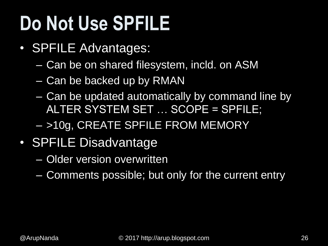## **Do Not Use SPFILE**

- SPFILE Advantages:
	- Can be on shared filesystem, incld. on ASM
	- Can be backed up by RMAN
	- Can be updated automatically by command line by ALTER SYSTEM SET … SCOPE = SPFILE;
	- >10g, CREATE SPFILE FROM MEMORY
- SPFILE Disadvantage
	- Older version overwritten
	- Comments possible; but only for the current entry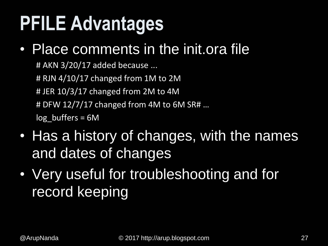## **PFILE Advantages**

#### • Place comments in the init.ora file

# AKN 3/20/17 added because ... # RJN 4/10/17 changed from 1M to 2M # JER 10/3/17 changed from 2M to 4M # DFW 12/7/17 changed from 4M to 6M SR# …  $log$  buffers = 6M

- Has a history of changes, with the names and dates of changes
- Very useful for troubleshooting and for record keeping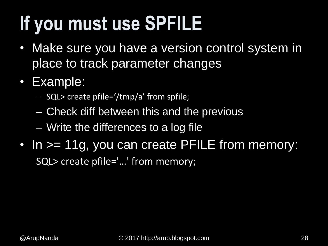## **If you must use SPFILE**

- Make sure you have a version control system in place to track parameter changes
- Example:
	- SQL> create pfile='/tmp/a' from spfile;
	- Check diff between this and the previous
	- Write the differences to a log file
- In > = 11g, you can create PFILE from memory: SQL> create pfile='…' from memory;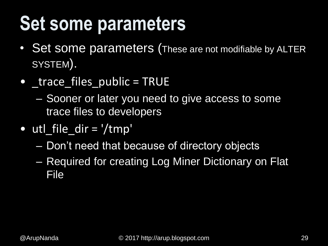### **Set some parameters**

- Set some parameters (These are not modifiable by ALTER SYSTEM).
- trace files public = TRUE
	- Sooner or later you need to give access to some trace files to developers
- utl file  $dir = '/tmp'$ 
	- Don't need that because of directory objects
	- Required for creating Log Miner Dictionary on Flat File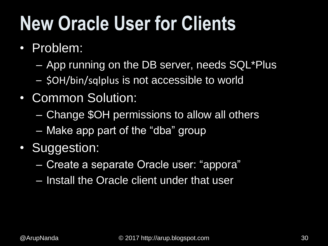## **New Oracle User for Clients**

- Problem:
	- App running on the DB server, needs SQL\*Plus
	- \$OH/bin/sqlplus is not accessible to world
- Common Solution:
	- Change \$OH permissions to allow all others
	- Make app part of the "dba" group
- Suggestion:
	- Create a separate Oracle user: "appora"
	- Install the Oracle client under that user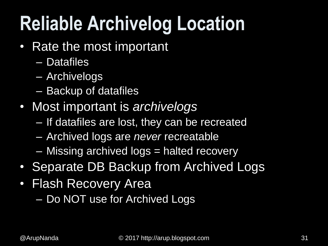## **Reliable Archivelog Location**

- Rate the most important
	- Datafiles
	- Archivelogs
	- Backup of datafiles
- Most important is *archivelogs*
	- If datafiles are lost, they can be recreated
	- Archived logs are *never* recreatable
	- Missing archived logs = halted recovery
- Separate DB Backup from Archived Logs
- Flash Recovery Area
	- Do NOT use for Archived Logs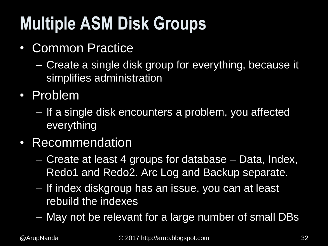#### **Multiple ASM Disk Groups**

- Common Practice
	- Create a single disk group for everything, because it simplifies administration
- Problem
	- If a single disk encounters a problem, you affected everything
- Recommendation
	- Create at least 4 groups for database Data, Index, Redo1 and Redo2. Arc Log and Backup separate.
	- If index diskgroup has an issue, you can at least rebuild the indexes
	- May not be relevant for a large number of small DBs

© 2017 http://arup.blogspot.com @ArupNanda 32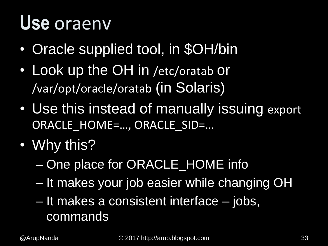#### **Use** oraenv

- Oracle supplied tool, in \$OH/bin
- Look up the OH in /etc/oratab or /var/opt/oracle/oratab (in Solaris)
- Use this instead of manually issuing export ORACLE\_HOME=…, ORACLE\_SID=…
- Why this?
	- One place for ORACLE\_HOME info
	- It makes your job easier while changing OH
	- It makes a consistent interface jobs, commands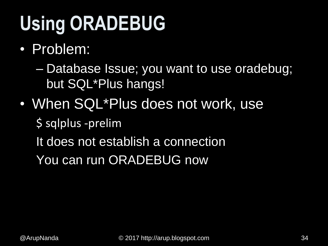## **Using ORADEBUG**

• Problem:

– Database Issue; you want to use oradebug; but SQL\*Plus hangs!

• When SQL\*Plus does not work, use

\$ sqlplus -prelim

It does not establish a connection

You can run ORADEBUG now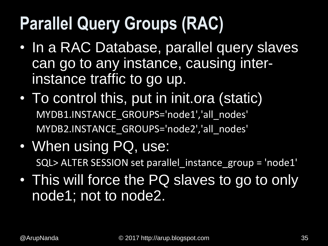#### **Parallel Query Groups (RAC)**

- In a RAC Database, parallel query slaves can go to any instance, causing interinstance traffic to go up.
- To control this, put in init.ora (static) MYDB1.INSTANCE GROUPS='node1','all nodes' MYDB2.INSTANCE\_GROUPS='node2<sup>'</sup>,'all\_nodes'
- When using PQ, use: SQL> ALTER SESSION set parallel\_instance\_group = 'node1'
- This will force the PQ slaves to go to only node1; not to node2.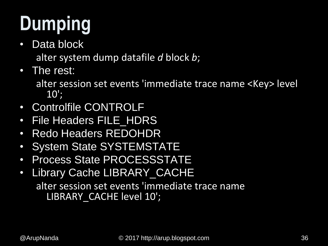## **Dumping**

• Data block

alter system dump datafile *d* block *b*;

• The rest:

alter session set events 'immediate trace name <Key> level  $10$ ';

- Controlfile CONTROLF
- File Headers FILE\_HDRS
- Redo Headers REDOHDR
- System State SYSTEMSTATE
- Process State PROCESSSTATE
- Library Cache LIBRARY\_CACHE alter session set events 'immediate trace name LIBRARY\_CACHE level 10';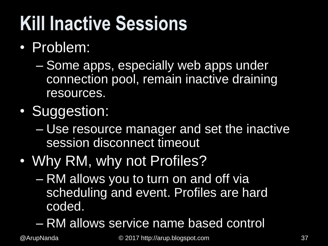## **Kill Inactive Sessions**

- Problem:
	- Some apps, especially web apps under connection pool, remain inactive draining resources.
- Suggestion:
	- Use resource manager and set the inactive session disconnect timeout
- Why RM, why not Profiles?
	- RM allows you to turn on and off via scheduling and event. Profiles are hard coded.
	- RM allows service name based control

© 2017 http://arup.blogspot.com @ArupNanda 37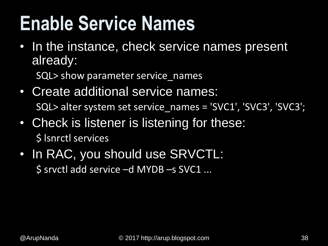### **Enable Service Names**

• In the instance, check service names present already:

SQL> show parameter service\_names

- Create additional service names: SQL> alter system set service\_names = 'SVC1', 'SVC3', 'SVC3';
- Check is listener is listening for these: \$ lsnrctl services
- In RAC, you should use SRVCTL: \$ srvctl add service –d MYDB –s SVC1 ...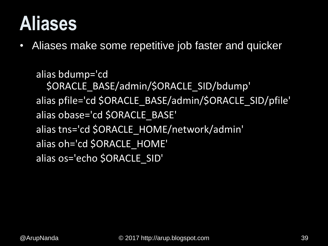#### **Aliases**

• Aliases make some repetitive job faster and quicker

```
alias bdump='cd 
  $ORACLE_BASE/admin/$ORACLE_SID/bdump'
alias pfile='cd $ORACLE_BASE/admin/$ORACLE_SID/pfile'
alias obase='cd $ORACLE_BASE'
alias tns='cd $ORACLE_HOME/network/admin'
alias oh='cd $ORACLE_HOME'
alias os='echo $ORACLE_SID'
```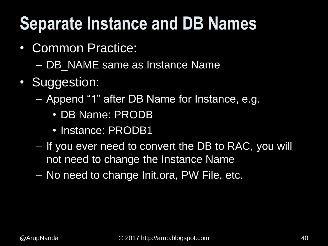#### **Separate Instance and DB Names**

- Common Practice:
	- DB\_NAME same as Instance Name
- Suggestion:
	- Append "1" after DB Name for Instance, e.g.
		- DB Name: PRODB
		- Instance: PRODB1
	- If you ever need to convert the DB to RAC, you will not need to change the Instance Name
	- No need to change Init.ora, PW File, etc.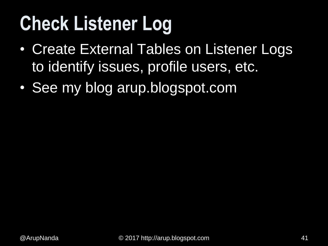## **Check Listener Log**

- Create External Tables on Listener Logs to identify issues, profile users, etc.
- See my blog arup.blogspot.com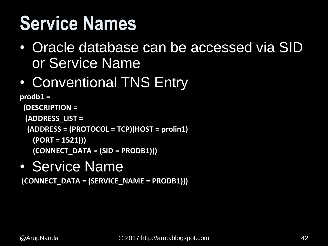## **Service Names**

- Oracle database can be accessed via SID or Service Name
- Conventional TNS Entry

```
prodb1 =
 (DESCRIPTION =
 (ADDRESS_LIST =
 (ADDRESS = (PROTOCOL = TCP)(HOST = prolin1)
   (PORT = 1521)))
   (CONNECT_DATA = (SID = PRODB1)))
```
• Service Name

**(CONNECT\_DATA = (SERVICE\_NAME = PRODB1)))**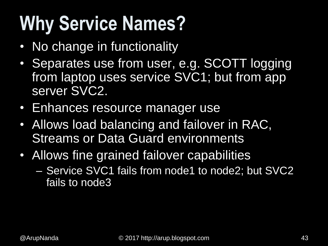## **Why Service Names?**

- No change in functionality
- Separates use from user, e.g. SCOTT logging from laptop uses service SVC1; but from app server SVC2.
- Enhances resource manager use
- Allows load balancing and failover in RAC, **Streams or Data Guard environments**
- Allows fine grained failover capabilities
	- Service SVC1 fails from node1 to node2; but SVC2 fails to node3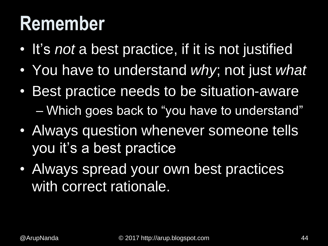#### **Remember**

- It's *not* a best practice, if it is not justified
- You have to understand *why*; not just *what*
- Best practice needs to be situation-aware – Which goes back to "you have to understand"
- Always question whenever someone tells you it's a best practice
- Always spread your own best practices with correct rationale.